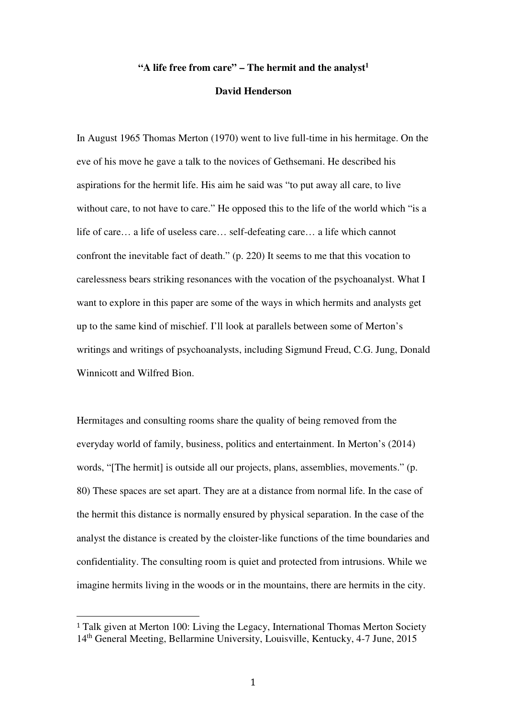## **"A life free from care" – The hermit and the analyst 1**

## **David Henderson**

In August 1965 Thomas Merton (1970) went to live full-time in his hermitage. On the eve of his move he gave a talk to the novices of Gethsemani. He described his aspirations for the hermit life. His aim he said was "to put away all care, to live without care, to not have to care." He opposed this to the life of the world which "is a life of care… a life of useless care… self-defeating care… a life which cannot confront the inevitable fact of death." (p. 220) It seems to me that this vocation to carelessness bears striking resonances with the vocation of the psychoanalyst. What I want to explore in this paper are some of the ways in which hermits and analysts get up to the same kind of mischief. I'll look at parallels between some of Merton's writings and writings of psychoanalysts, including Sigmund Freud, C.G. Jung, Donald Winnicott and Wilfred Bion.

Hermitages and consulting rooms share the quality of being removed from the everyday world of family, business, politics and entertainment. In Merton's (2014) words, "[The hermit] is outside all our projects, plans, assemblies, movements." (p. 80) These spaces are set apart. They are at a distance from normal life. In the case of the hermit this distance is normally ensured by physical separation. In the case of the analyst the distance is created by the cloister-like functions of the time boundaries and confidentiality. The consulting room is quiet and protected from intrusions. While we imagine hermits living in the woods or in the mountains, there are hermits in the city.

 $\overline{a}$ 

<sup>&</sup>lt;sup>1</sup> Talk given at Merton 100: Living the Legacy, International Thomas Merton Society 14<sup>th</sup> General Meeting, Bellarmine University, Louisville, Kentucky, 4-7 June, 2015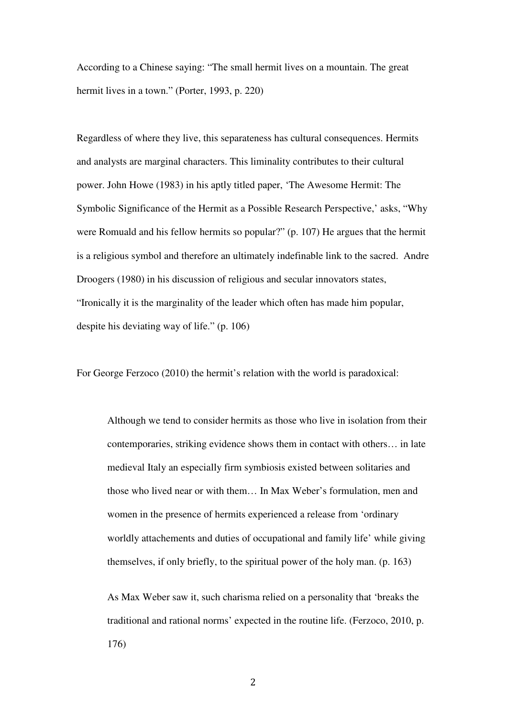According to a Chinese saying: "The small hermit lives on a mountain. The great hermit lives in a town." (Porter, 1993, p. 220)

Regardless of where they live, this separateness has cultural consequences. Hermits and analysts are marginal characters. This liminality contributes to their cultural power. John Howe (1983) in his aptly titled paper, 'The Awesome Hermit: The Symbolic Significance of the Hermit as a Possible Research Perspective,' asks, "Why were Romuald and his fellow hermits so popular?" (p. 107) He argues that the hermit is a religious symbol and therefore an ultimately indefinable link to the sacred. Andre Droogers (1980) in his discussion of religious and secular innovators states, "Ironically it is the marginality of the leader which often has made him popular, despite his deviating way of life." (p. 106)

For George Ferzoco (2010) the hermit's relation with the world is paradoxical:

Although we tend to consider hermits as those who live in isolation from their contemporaries, striking evidence shows them in contact with others… in late medieval Italy an especially firm symbiosis existed between solitaries and those who lived near or with them… In Max Weber's formulation, men and women in the presence of hermits experienced a release from 'ordinary worldly attachements and duties of occupational and family life' while giving themselves, if only briefly, to the spiritual power of the holy man. (p. 163)

As Max Weber saw it, such charisma relied on a personality that 'breaks the traditional and rational norms' expected in the routine life. (Ferzoco, 2010, p. 176)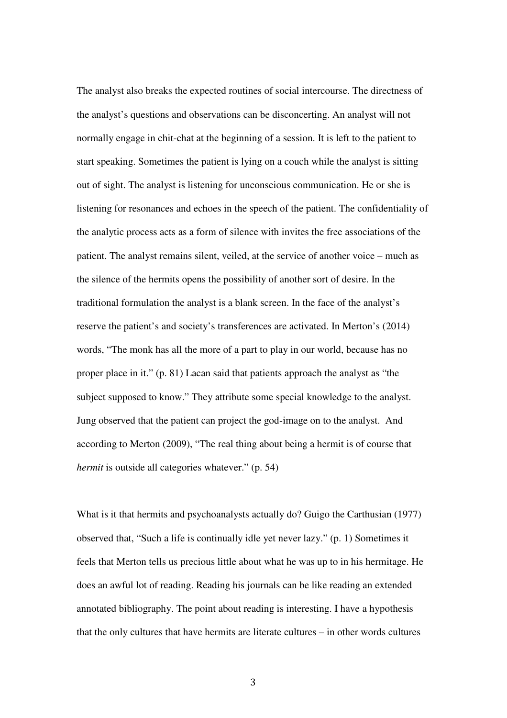The analyst also breaks the expected routines of social intercourse. The directness of the analyst's questions and observations can be disconcerting. An analyst will not normally engage in chit-chat at the beginning of a session. It is left to the patient to start speaking. Sometimes the patient is lying on a couch while the analyst is sitting out of sight. The analyst is listening for unconscious communication. He or she is listening for resonances and echoes in the speech of the patient. The confidentiality of the analytic process acts as a form of silence with invites the free associations of the patient. The analyst remains silent, veiled, at the service of another voice – much as the silence of the hermits opens the possibility of another sort of desire. In the traditional formulation the analyst is a blank screen. In the face of the analyst's reserve the patient's and society's transferences are activated. In Merton's (2014) words, "The monk has all the more of a part to play in our world, because has no proper place in it." (p. 81) Lacan said that patients approach the analyst as "the subject supposed to know." They attribute some special knowledge to the analyst. Jung observed that the patient can project the god-image on to the analyst. And according to Merton (2009), "The real thing about being a hermit is of course that *hermit* is outside all categories whatever." (p. 54)

What is it that hermits and psychoanalysts actually do? Guigo the Carthusian (1977) observed that, "Such a life is continually idle yet never lazy." (p. 1) Sometimes it feels that Merton tells us precious little about what he was up to in his hermitage. He does an awful lot of reading. Reading his journals can be like reading an extended annotated bibliography. The point about reading is interesting. I have a hypothesis that the only cultures that have hermits are literate cultures – in other words cultures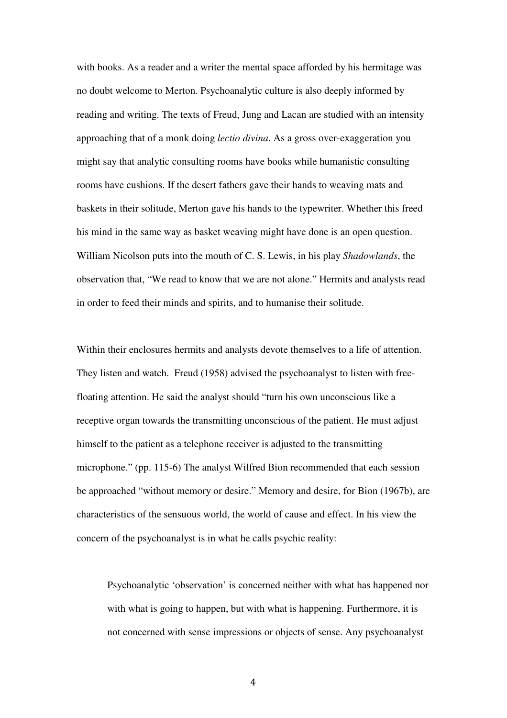with books. As a reader and a writer the mental space afforded by his hermitage was no doubt welcome to Merton. Psychoanalytic culture is also deeply informed by reading and writing. The texts of Freud, Jung and Lacan are studied with an intensity approaching that of a monk doing *lectio divina*. As a gross over-exaggeration you might say that analytic consulting rooms have books while humanistic consulting rooms have cushions. If the desert fathers gave their hands to weaving mats and baskets in their solitude, Merton gave his hands to the typewriter. Whether this freed his mind in the same way as basket weaving might have done is an open question. William Nicolson puts into the mouth of C. S. Lewis, in his play *Shadowlands*, the observation that, "We read to know that we are not alone." Hermits and analysts read in order to feed their minds and spirits, and to humanise their solitude.

Within their enclosures hermits and analysts devote themselves to a life of attention. They listen and watch. Freud (1958) advised the psychoanalyst to listen with freefloating attention. He said the analyst should "turn his own unconscious like a receptive organ towards the transmitting unconscious of the patient. He must adjust himself to the patient as a telephone receiver is adjusted to the transmitting microphone." (pp. 115-6) The analyst Wilfred Bion recommended that each session be approached "without memory or desire." Memory and desire, for Bion (1967b), are characteristics of the sensuous world, the world of cause and effect. In his view the concern of the psychoanalyst is in what he calls psychic reality:

Psychoanalytic 'observation' is concerned neither with what has happened nor with what is going to happen, but with what is happening. Furthermore, it is not concerned with sense impressions or objects of sense. Any psychoanalyst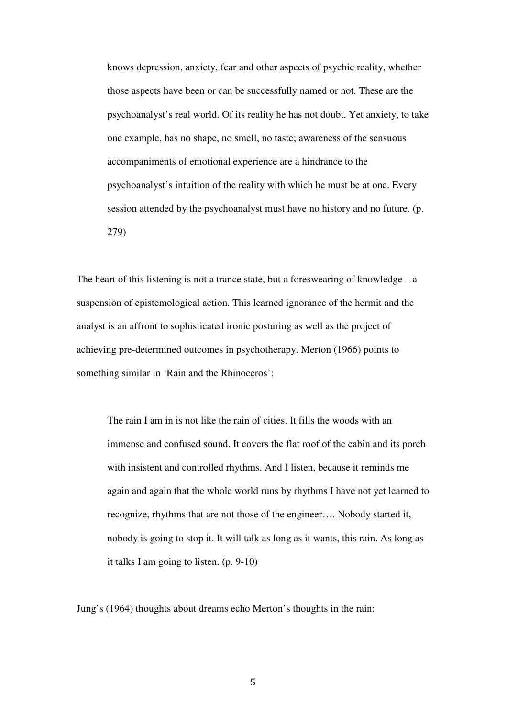knows depression, anxiety, fear and other aspects of psychic reality, whether those aspects have been or can be successfully named or not. These are the psychoanalyst's real world. Of its reality he has not doubt. Yet anxiety, to take one example, has no shape, no smell, no taste; awareness of the sensuous accompaniments of emotional experience are a hindrance to the psychoanalyst's intuition of the reality with which he must be at one. Every session attended by the psychoanalyst must have no history and no future. (p. 279)

The heart of this listening is not a trance state, but a foreswearing of knowledge  $- a$ suspension of epistemological action. This learned ignorance of the hermit and the analyst is an affront to sophisticated ironic posturing as well as the project of achieving pre-determined outcomes in psychotherapy. Merton (1966) points to something similar in 'Rain and the Rhinoceros':

The rain I am in is not like the rain of cities. It fills the woods with an immense and confused sound. It covers the flat roof of the cabin and its porch with insistent and controlled rhythms. And I listen, because it reminds me again and again that the whole world runs by rhythms I have not yet learned to recognize, rhythms that are not those of the engineer…. Nobody started it, nobody is going to stop it. It will talk as long as it wants, this rain. As long as it talks I am going to listen. (p. 9-10)

Jung's (1964) thoughts about dreams echo Merton's thoughts in the rain: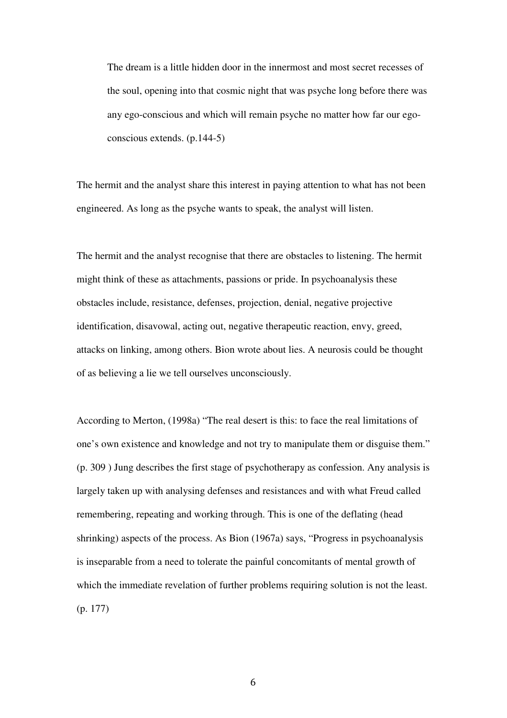The dream is a little hidden door in the innermost and most secret recesses of the soul, opening into that cosmic night that was psyche long before there was any ego-conscious and which will remain psyche no matter how far our egoconscious extends. (p.144-5)

The hermit and the analyst share this interest in paying attention to what has not been engineered. As long as the psyche wants to speak, the analyst will listen.

The hermit and the analyst recognise that there are obstacles to listening. The hermit might think of these as attachments, passions or pride. In psychoanalysis these obstacles include, resistance, defenses, projection, denial, negative projective identification, disavowal, acting out, negative therapeutic reaction, envy, greed, attacks on linking, among others. Bion wrote about lies. A neurosis could be thought of as believing a lie we tell ourselves unconsciously.

According to Merton, (1998a) "The real desert is this: to face the real limitations of one's own existence and knowledge and not try to manipulate them or disguise them." (p. 309 ) Jung describes the first stage of psychotherapy as confession. Any analysis is largely taken up with analysing defenses and resistances and with what Freud called remembering, repeating and working through. This is one of the deflating (head shrinking) aspects of the process. As Bion (1967a) says, "Progress in psychoanalysis is inseparable from a need to tolerate the painful concomitants of mental growth of which the immediate revelation of further problems requiring solution is not the least. (p. 177)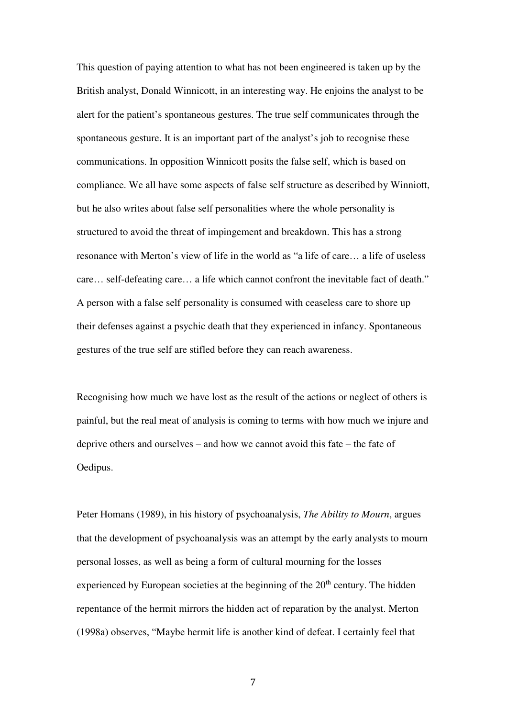This question of paying attention to what has not been engineered is taken up by the British analyst, Donald Winnicott, in an interesting way. He enjoins the analyst to be alert for the patient's spontaneous gestures. The true self communicates through the spontaneous gesture. It is an important part of the analyst's job to recognise these communications. In opposition Winnicott posits the false self, which is based on compliance. We all have some aspects of false self structure as described by Winniott, but he also writes about false self personalities where the whole personality is structured to avoid the threat of impingement and breakdown. This has a strong resonance with Merton's view of life in the world as "a life of care… a life of useless care… self-defeating care… a life which cannot confront the inevitable fact of death." A person with a false self personality is consumed with ceaseless care to shore up their defenses against a psychic death that they experienced in infancy. Spontaneous gestures of the true self are stifled before they can reach awareness.

Recognising how much we have lost as the result of the actions or neglect of others is painful, but the real meat of analysis is coming to terms with how much we injure and deprive others and ourselves – and how we cannot avoid this fate – the fate of Oedipus.

Peter Homans (1989), in his history of psychoanalysis, *The Ability to Mourn*, argues that the development of psychoanalysis was an attempt by the early analysts to mourn personal losses, as well as being a form of cultural mourning for the losses experienced by European societies at the beginning of the  $20<sup>th</sup>$  century. The hidden repentance of the hermit mirrors the hidden act of reparation by the analyst. Merton (1998a) observes, "Maybe hermit life is another kind of defeat. I certainly feel that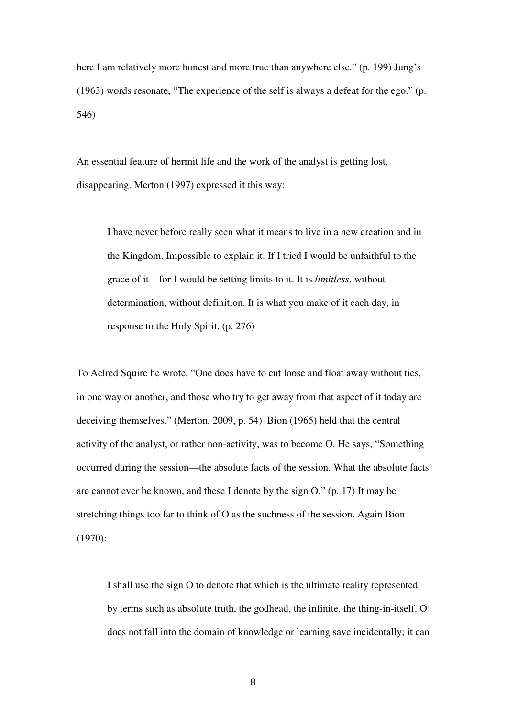here I am relatively more honest and more true than anywhere else." (p. 199) Jung's (1963) words resonate, "The experience of the self is always a defeat for the ego." (p. 546)

An essential feature of hermit life and the work of the analyst is getting lost, disappearing. Merton (1997) expressed it this way:

I have never before really seen what it means to live in a new creation and in the Kingdom. Impossible to explain it. If I tried I would be unfaithful to the grace of it – for I would be setting limits to it. It is *limitless*, without determination, without definition. It is what you make of it each day, in response to the Holy Spirit. (p. 276)

To Aelred Squire he wrote, "One does have to cut loose and float away without ties, in one way or another, and those who try to get away from that aspect of it today are deceiving themselves." (Merton, 2009, p. 54) Bion (1965) held that the central activity of the analyst, or rather non-activity, was to become O. He says, "Something occurred during the session—the absolute facts of the session. What the absolute facts are cannot ever be known, and these I denote by the sign O." (p. 17) It may be stretching things too far to think of O as the suchness of the session. Again Bion (1970):

I shall use the sign O to denote that which is the ultimate reality represented by terms such as absolute truth, the godhead, the infinite, the thing-in-itself. O does not fall into the domain of knowledge or learning save incidentally; it can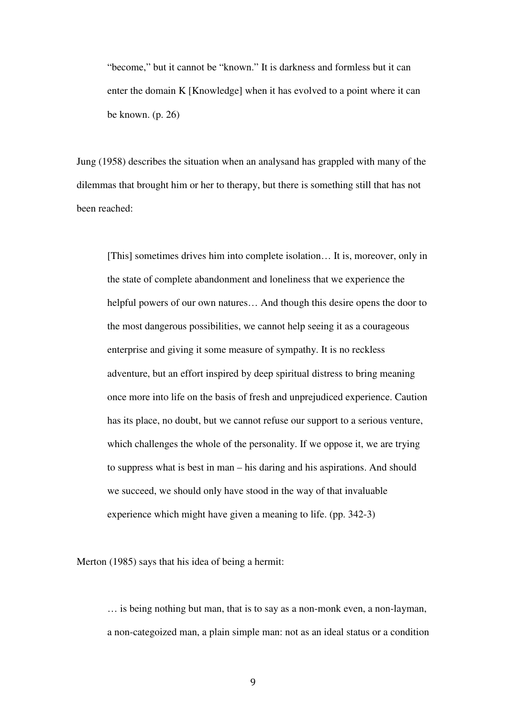"become," but it cannot be "known." It is darkness and formless but it can enter the domain K [Knowledge] when it has evolved to a point where it can be known. (p. 26)

Jung (1958) describes the situation when an analysand has grappled with many of the dilemmas that brought him or her to therapy, but there is something still that has not been reached:

[This] sometimes drives him into complete isolation… It is, moreover, only in the state of complete abandonment and loneliness that we experience the helpful powers of our own natures… And though this desire opens the door to the most dangerous possibilities, we cannot help seeing it as a courageous enterprise and giving it some measure of sympathy. It is no reckless adventure, but an effort inspired by deep spiritual distress to bring meaning once more into life on the basis of fresh and unprejudiced experience. Caution has its place, no doubt, but we cannot refuse our support to a serious venture, which challenges the whole of the personality. If we oppose it, we are trying to suppress what is best in man – his daring and his aspirations. And should we succeed, we should only have stood in the way of that invaluable experience which might have given a meaning to life. (pp. 342-3)

Merton (1985) says that his idea of being a hermit:

… is being nothing but man, that is to say as a non-monk even, a non-layman, a non-categoized man, a plain simple man: not as an ideal status or a condition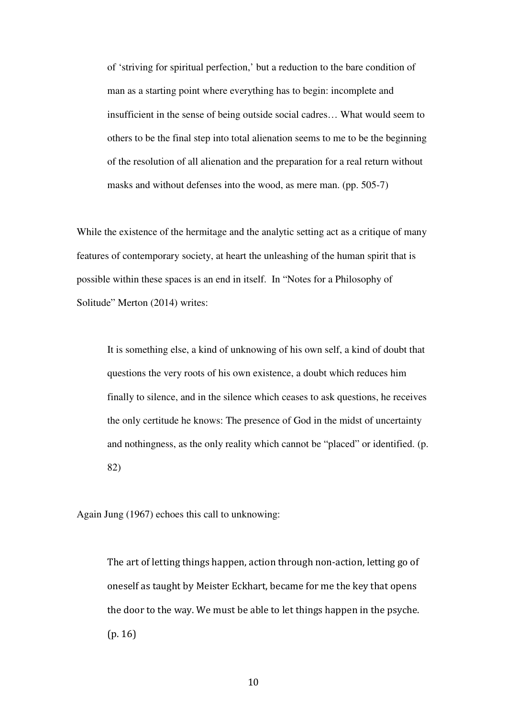of 'striving for spiritual perfection,' but a reduction to the bare condition of man as a starting point where everything has to begin: incomplete and insufficient in the sense of being outside social cadres… What would seem to others to be the final step into total alienation seems to me to be the beginning of the resolution of all alienation and the preparation for a real return without masks and without defenses into the wood, as mere man. (pp. 505-7)

While the existence of the hermitage and the analytic setting act as a critique of many features of contemporary society, at heart the unleashing of the human spirit that is possible within these spaces is an end in itself. In "Notes for a Philosophy of Solitude" Merton (2014) writes:

It is something else, a kind of unknowing of his own self, a kind of doubt that questions the very roots of his own existence, a doubt which reduces him finally to silence, and in the silence which ceases to ask questions, he receives the only certitude he knows: The presence of God in the midst of uncertainty and nothingness, as the only reality which cannot be "placed" or identified. (p. 82)

Again Jung (1967) echoes this call to unknowing:

The art of letting things happen, action through non-action, letting go of oneself as taught by Meister Eckhart, became for me the key that opens the door to the way. We must be able to let things happen in the psyche. (p. 16)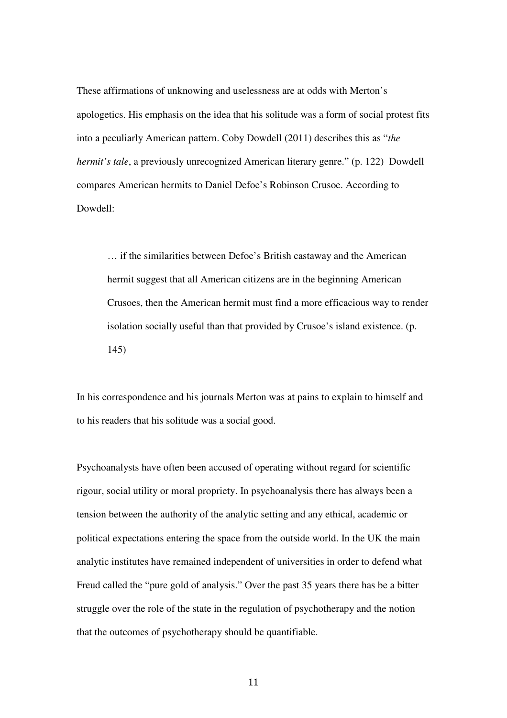These affirmations of unknowing and uselessness are at odds with Merton's apologetics. His emphasis on the idea that his solitude was a form of social protest fits into a peculiarly American pattern. Coby Dowdell (2011) describes this as "*the hermit's tale*, a previously unrecognized American literary genre." (p. 122) Dowdell compares American hermits to Daniel Defoe's Robinson Crusoe. According to Dowdell:

… if the similarities between Defoe's British castaway and the American hermit suggest that all American citizens are in the beginning American Crusoes, then the American hermit must find a more efficacious way to render isolation socially useful than that provided by Crusoe's island existence. (p. 145)

In his correspondence and his journals Merton was at pains to explain to himself and to his readers that his solitude was a social good.

Psychoanalysts have often been accused of operating without regard for scientific rigour, social utility or moral propriety. In psychoanalysis there has always been a tension between the authority of the analytic setting and any ethical, academic or political expectations entering the space from the outside world. In the UK the main analytic institutes have remained independent of universities in order to defend what Freud called the "pure gold of analysis." Over the past 35 years there has be a bitter struggle over the role of the state in the regulation of psychotherapy and the notion that the outcomes of psychotherapy should be quantifiable.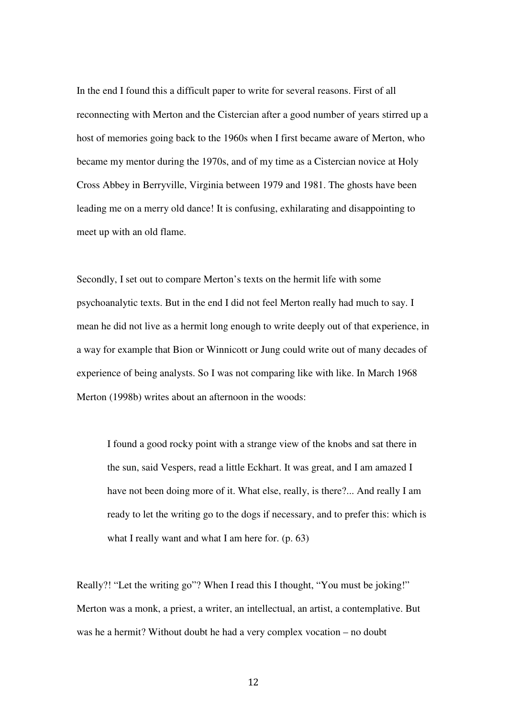In the end I found this a difficult paper to write for several reasons. First of all reconnecting with Merton and the Cistercian after a good number of years stirred up a host of memories going back to the 1960s when I first became aware of Merton, who became my mentor during the 1970s, and of my time as a Cistercian novice at Holy Cross Abbey in Berryville, Virginia between 1979 and 1981. The ghosts have been leading me on a merry old dance! It is confusing, exhilarating and disappointing to meet up with an old flame.

Secondly, I set out to compare Merton's texts on the hermit life with some psychoanalytic texts. But in the end I did not feel Merton really had much to say. I mean he did not live as a hermit long enough to write deeply out of that experience, in a way for example that Bion or Winnicott or Jung could write out of many decades of experience of being analysts. So I was not comparing like with like. In March 1968 Merton (1998b) writes about an afternoon in the woods:

I found a good rocky point with a strange view of the knobs and sat there in the sun, said Vespers, read a little Eckhart. It was great, and I am amazed I have not been doing more of it. What else, really, is there?... And really I am ready to let the writing go to the dogs if necessary, and to prefer this: which is what I really want and what I am here for. (p. 63)

Really?! "Let the writing go"? When I read this I thought, "You must be joking!" Merton was a monk, a priest, a writer, an intellectual, an artist, a contemplative. But was he a hermit? Without doubt he had a very complex vocation – no doubt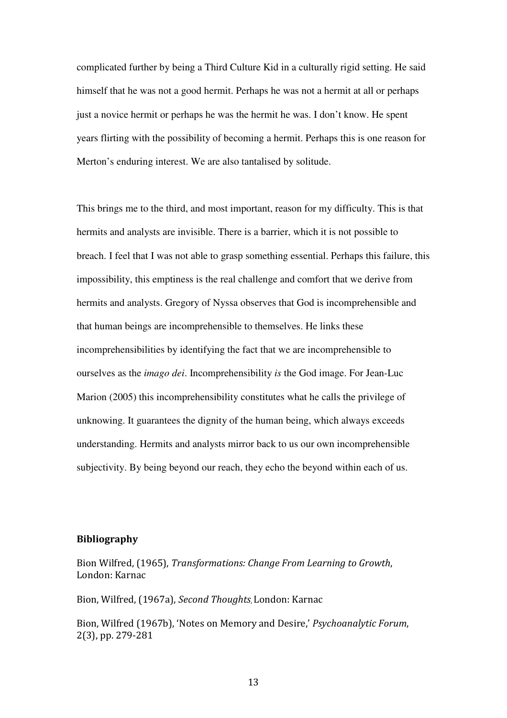complicated further by being a Third Culture Kid in a culturally rigid setting. He said himself that he was not a good hermit. Perhaps he was not a hermit at all or perhaps just a novice hermit or perhaps he was the hermit he was. I don't know. He spent years flirting with the possibility of becoming a hermit. Perhaps this is one reason for Merton's enduring interest. We are also tantalised by solitude.

This brings me to the third, and most important, reason for my difficulty. This is that hermits and analysts are invisible. There is a barrier, which it is not possible to breach. I feel that I was not able to grasp something essential. Perhaps this failure, this impossibility, this emptiness is the real challenge and comfort that we derive from hermits and analysts. Gregory of Nyssa observes that God is incomprehensible and that human beings are incomprehensible to themselves. He links these incomprehensibilities by identifying the fact that we are incomprehensible to ourselves as the *imago dei*. Incomprehensibility *is* the God image. For Jean-Luc Marion (2005) this incomprehensibility constitutes what he calls the privilege of unknowing. It guarantees the dignity of the human being, which always exceeds understanding. Hermits and analysts mirror back to us our own incomprehensible subjectivity. By being beyond our reach, they echo the beyond within each of us.

## **Bibliography**

Bion Wilfred, (1965), *Transformations: Change From Learning to Growth*, London: Karnac

Bion, Wilfred, (1967a), *Second Thoughts*, London: Karnac

Bion, Wilfred (1967b), 'Notes on Memory and Desire,' *Psychoanalytic Forum*, 2(3), pp. 279-281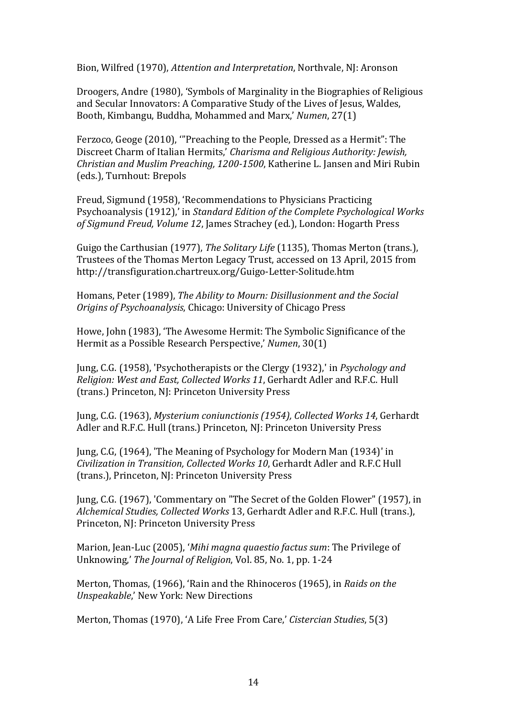Bion, Wilfred (1970), *Attention and Interpretation*, Northvale, NJ: Aronson

Droogers, Andre (1980), 'Symbols of Marginality in the Biographies of Religious and Secular Innovators: A Comparative Study of the Lives of Jesus, Waldes, Booth, Kimbangu, Buddha, Mohammed and Marx,' *Numen*, 27(1)

Ferzoco, Geoge (2010), '"Preaching to the People, Dressed as a Hermit": The Discreet Charm of Italian Hermits,' *Charisma and Religious Authority: Jewish, Christian and Muslim Preaching, 1200-1500*, Katherine L. Jansen and Miri Rubin (eds.), Turnhout: Brepols

Freud, Sigmund (1958), 'Recommendations to Physicians Practicing Psychoanalysis (1912),' in *Standard Edition of the Complete Psychological Works of Sigmund Freud, Volume 12*, James Strachey (ed.), London: Hogarth Press

Guigo the Carthusian (1977), *The Solitary Life* (1135), Thomas Merton (trans.), Trustees of the Thomas Merton Legacy Trust, accessed on 13 April, 2015 from http://transfiguration.chartreux.org/Guigo-Letter-Solitude.htm

Homans, Peter (1989), *The Ability to Mourn: Disillusionment and the Social Origins of Psychoanalysis*, Chicago: University of Chicago Press

Howe, John (1983), 'The Awesome Hermit: The Symbolic Significance of the Hermit as a Possible Research Perspective,' *Numen*, 30(1)

Jung, C.G. (1958), 'Psychotherapists or the Clergy (1932),' in *Psychology and Religion: West and East, Collected Works 11*, Gerhardt Adler and R.F.C. Hull (trans.) Princeton, NJ: Princeton University Press

Jung, C.G. (1963), *Mysterium coniunctionis (1954), Collected Works 14*, Gerhardt Adler and R.F.C. Hull (trans.) Princeton, NJ: Princeton University Press

Jung, C.G, (1964), 'The Meaning of Psychology for Modern Man (1934)' in *Civilization in Transition, Collected Works 10*, Gerhardt Adler and R.F.C Hull (trans.), Princeton, NJ: Princeton University Press

Jung, C.G. (1967), 'Commentary on "The Secret of the Golden Flower" (1957), in *Alchemical Studies, Collected Works* 13, Gerhardt Adler and R.F.C. Hull (trans.), Princeton, NJ: Princeton University Press

Marion, Jean-Luc (2005), '*Mihi magna quaestio factus sum*: The Privilege of Unknowing,' *The Journal of Religion*, Vol. 85, No. 1, pp. 1-24

Merton, Thomas, (1966), 'Rain and the Rhinoceros (1965), in *Raids on the Unspeakable*,' New York: New Directions

Merton, Thomas (1970), 'A Life Free From Care,' *Cistercian Studies*, 5(3)